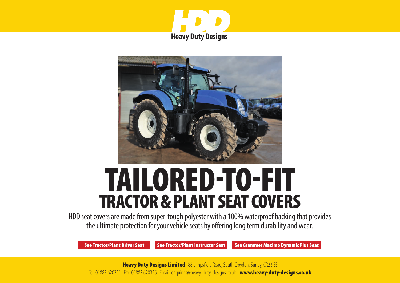



# TAILORED-TO-FIT TRACTOR & PLANT SEAT COVERS

HDD seat covers are made from super-tough polyester with a 100% waterproof backing that provides the ultimate protection for your vehicle seats by offering long term durability and wear.

[See Tractor/Plant Driver Seat](#page-1-0) [See Tractor/Plant Instructor Seat](#page-2-0) [See Grammer Maximo Dynamic Plus Seat](#page-3-0)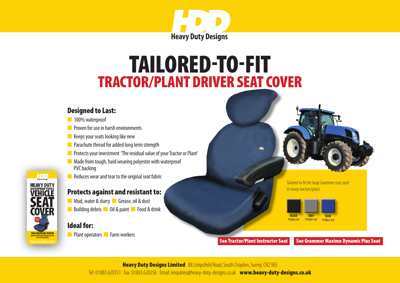

# <span id="page-1-0"></span>TRACTOR/PLANT DRIVER SEAT COVER TAILORED-TO-FIT

#### Designed to Last:

- n 100% waterproof
- **n** Proven for use in harsh environments
- $\blacksquare$  Keeps your seats looking like new
- $\blacksquare$  Parachute thread for added long term strength
- **n** Protects your investment 'The residual value of your Tractor or Plant'
- $\blacksquare$  Made from tough, hard wearing polyester with waterproof PVC backing
- $\blacksquare$  Reduces wear and tear to the original seat fabric

### Protects against and resistant to:

n Mud, water & slurry **n** Grease, oil & dust **n** Building debris **n** Oil & paint **n** Food & drink

### Ideal for:

**HDD HEAVY DUTY** /FHICI F

**TRACTOR/PLANT DRIVER** 

n Plant operators **n** Farm workers

Tailored to fit the large Grammer seat used in many tractors/plant.



[See Tractor/Plant Instructor Seat](#page-2-0) [See Grammer Maximo Dynamic Plus Seat](#page-3-0)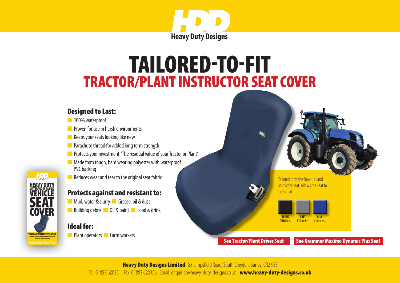

# <span id="page-2-0"></span>TRACTOR/PLANT INSTRUCTOR SEAT COVER TAILORED-TO-FIT

#### Designed to Last:

- n 100% waterproof
- **n** Proven for use in harsh environments
- $\blacksquare$  Keeps your seats looking like new
- **n** Parachute thread for added long term strength
- **n** Protects your investment 'The residual value of your Tractor or Plant'
- $\blacksquare$  Made from tough, hard wearing polyester with waterproof PVC backing
- $\blacksquare$  Reduces wear and tear to the original seat fabric

### Protects against and resistant to:

**n** Mud, water & slurry **n** Grease, oil & dust n Building debris no Oil & paint n Food & drink

#### Ideal for:

**HDD HEAVY DUTY VEHICLE** 

**COVER** 

TRACTOR/PLANT INSTRUCTO

**n** Plant operators **n** Farm workers

Tailored to fit the New Holland Instructor seat. Allows the seat to be folded.



[See Tractor/Plant Driver Seat](#page-1-0) [See Grammer Maximo Dynamic Plus Seat](#page-3-0)